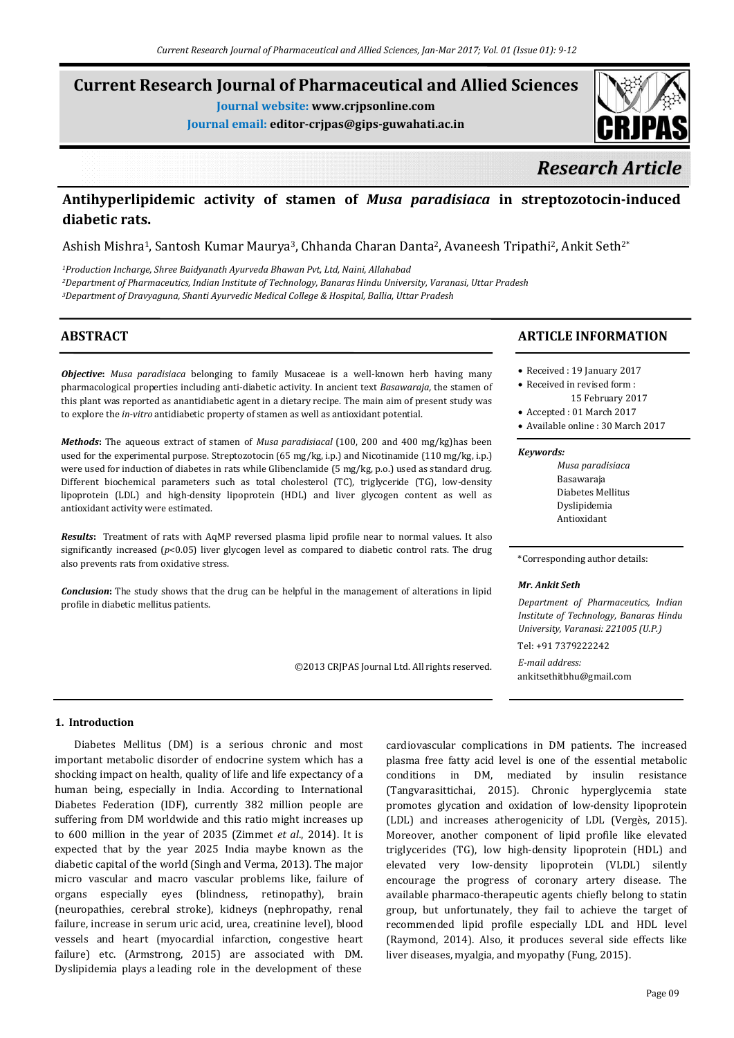# **Current Research Journal of Pharmaceutical and Allied Sciences**

**Journal website: www.crjpsonline.com**

**Journal email: editor-crjpas@gips-guwahati.ac.in**

# *Research Article*

## **Antihyperlipidemic activity of stamen of** *Musa paradisiaca* **in streptozotocin-induced diabetic rats.**

Ashish Mishra1, Santosh Kumar Maurya3, Chhanda Charan Danta2, Avaneesh Tripathi2, Ankit Seth2\*

*1Production Incharge, Shree Baidyanath Ayurveda Bhawan Pvt, Ltd, Naini, Allahabad 2Department of Pharmaceutics, Indian Institute of Technology, Banaras Hindu University, Varanasi, Uttar Pradesh 3Department of Dravyaguna, Shanti Ayurvedic Medical College & Hospital, Ballia, Uttar Pradesh*

## **ABSTRACT**

*Objective***:** *Musa paradisiaca* belonging to family Musaceae is a well-known herb having many pharmacological properties including anti-diabetic activity. In ancient text *Basawaraja,* the stamen of this plant was reported as anantidiabetic agent in a dietary recipe. The main aim of present study was to explore the *in-vitro* antidiabetic property of stamen as well as antioxidant potential.

*Methods***:** The aqueous extract of stamen of *Musa paradisiacal* (100, 200 and 400 mg/kg)has been used for the experimental purpose. Streptozotocin (65 mg/kg, i.p.) and Nicotinamide (110 mg/kg, i.p.) were used for induction of diabetes in rats while Glibenclamide (5 mg/kg, p.o.) used as standard drug. Different biochemical parameters such as total cholesterol (TC), triglyceride (TG), low-density lipoprotein (LDL) and high-density lipoprotein (HDL) and liver glycogen content as well as antioxidant activity were estimated.

*Results***:** Treatment of rats with AqMP reversed plasma lipid profile near to normal values. It also significantly increased ( $p$ <0.05) liver glycogen level as compared to diabetic control rats. The drug also prevents rats from oxidative stress.

*Conclusion***:** The study shows that the drug can be helpful in the management of alterations in lipid profile in diabetic mellitus patients.

©2013 CRJPAS Journal Ltd. All rights reserved.

## **ARTICLE INFORMATION**

- Received : 19 January 2017
- Received in revised form : 15 February 2017
- Accepted : 01 March 2017
- Available online : 30 March 2017

#### *Keywords:*

 *Musa paradisiaca* Basawaraja Diabetes Mellitus Dyslipidemia Antioxidant

#### \*Corresponding author details:

#### *Mr. Ankit Seth*

*Department of Pharmaceutics, Indian Institute of Technology, Banaras Hindu University, Varanasi: 221005 (U.P.)* Tel: +91 7379222242

*E-mail address:* ankitsethitbhu@gmail.com

#### **1. Introduction**

Diabetes Mellitus (DM) is a serious chronic and most important metabolic disorder of endocrine system which has a shocking impact on health, quality of life and life expectancy of a human being, especially in India. According to International Diabetes Federation (IDF), currently 382 million people are suffering from DM worldwide and this ratio might increases up to 600 million in the year of 2035 (Zimmet *et al*., 2014). It is expected that by the year 2025 India maybe known as the diabetic capital of the world (Singh and Verma, 2013). The major micro vascular and macro vascular problems like, failure of organs especially eyes (blindness, retinopathy), brain (neuropathies, cerebral stroke), kidneys (nephropathy, renal failure, increase in serum uric acid, urea, creatinine level), blood vessels and heart (myocardial infarction, congestive heart failure) etc. (Armstrong, 2015) are associated with DM. Dyslipidemia plays a leading role in the development of these

cardiovascular complications in DM patients. The increased plasma free fatty acid level is one of the essential metabolic conditions in DM, mediated by insulin resistance (Tangvarasittichai, 2015). Chronic hyperglycemia state promotes glycation and oxidation of low-density lipoprotein (LDL) and increases atherogenicity of LDL (Vergès, 2015). Moreover, another component of lipid profile like elevated triglycerides (TG), low high-density lipoprotein (HDL) and elevated very low-density lipoprotein (VLDL) silently encourage the progress of coronary artery disease. The available pharmaco-therapeutic agents chiefly belong to statin group, but unfortunately, they fail to achieve the target of recommended lipid profile especially LDL and HDL level (Raymond, 2014). Also, it produces several side effects like liver diseases, myalgia, and myopathy (Fung, 2015).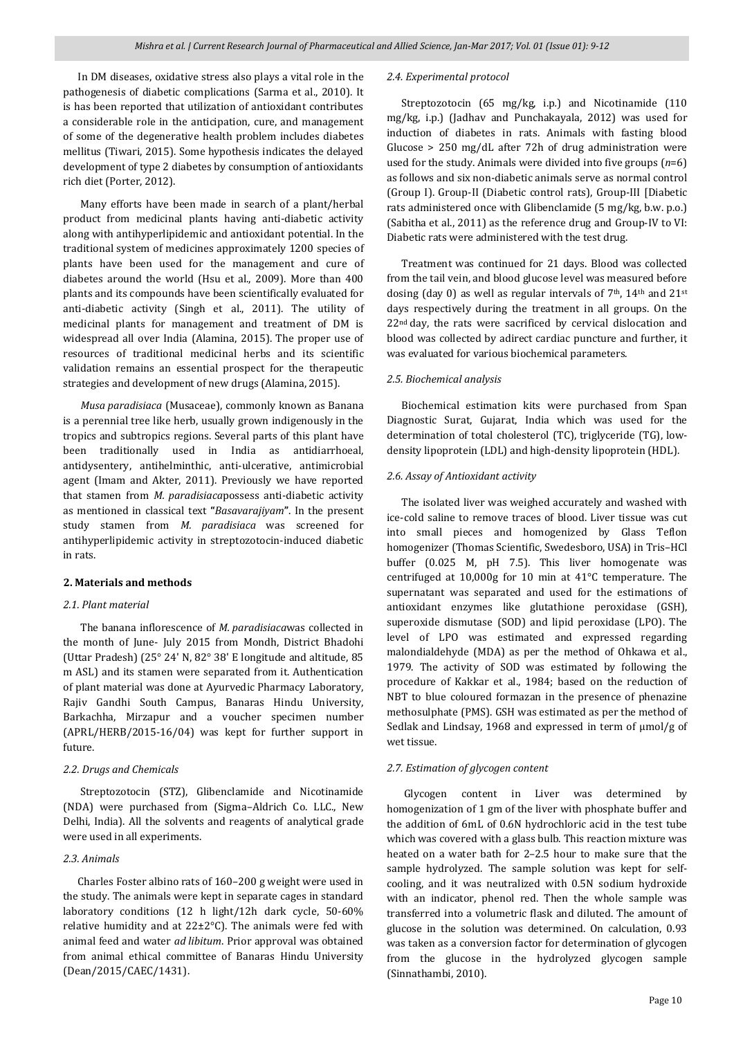In DM diseases, oxidative stress also plays a vital role in the pathogenesis of diabetic complications (Sarma et al., 2010). It is has been reported that utilization of antioxidant contributes a considerable role in the anticipation, cure, and management of some of the degenerative health problem includes diabetes mellitus (Tiwari, 2015). Some hypothesis indicates the delayed development of type 2 diabetes by consumption of antioxidants rich diet (Porter, 2012).

 Many efforts have been made in search of a plant/herbal product from medicinal plants having anti-diabetic activity along with antihyperlipidemic and antioxidant potential. In the traditional system of medicines approximately 1200 species of plants have been used for the management and cure of diabetes around the world (Hsu et al., 2009). More than 400 plants and its compounds have been scientifically evaluated for anti-diabetic activity (Singh et al., 2011). The utility of medicinal plants for management and treatment of DM is widespread all over India (Alamina, 2015). The proper use of resources of traditional medicinal herbs and its scientific validation remains an essential prospect for the therapeutic strategies and development of new drugs (Alamina, 2015).

 *Musa paradisiaca* (Musaceae), commonly known as Banana is a perennial tree like herb, usually grown indigenously in the tropics and subtropics regions. Several parts of this plant have been traditionally used in India as antidiarrhoeal, antidysentery, antihelminthic, anti-ulcerative, antimicrobial agent (Imam and Akter, 2011). Previously we have reported that stamen from *M. paradisiaca*possess anti-diabetic activity as mentioned in classical text **"***Basavarajiyam***"**. In the present study stamen from *M. paradisiaca* was screened for antihyperlipidemic activity in streptozotocin-induced diabetic in rats.

#### **2. Materials and methods**

#### *2.1. Plant material*

 The banana inflorescence of *M. paradisiaca*was collected in the month of June- July 2015 from Mondh, District Bhadohi (Uttar Pradesh) (25° 24' N, 82° 38' E longitude and altitude, 85 m ASL) and its stamen were separated from it. Authentication of plant material was done at Ayurvedic Pharmacy Laboratory, Rajiv Gandhi South Campus, Banaras Hindu University, Barkachha, Mirzapur and a voucher specimen number (APRL/HERB/2015-16/04) was kept for further support in future.

#### *2.2. Drugs and Chemicals*

 Streptozotocin (STZ), Glibenclamide and Nicotinamide (NDA) were purchased from (Sigma–Aldrich Co. LLC., New Delhi, India). All the solvents and reagents of analytical grade were used in all experiments.

#### *2.3. Animals*

 Charles Foster albino rats of 160–200 g weight were used in the study. The animals were kept in separate cages in standard laboratory conditions (12 h light/12h dark cycle, 50-60% relative humidity and at  $22\pm2^{\circ}$ C). The animals were fed with animal feed and water *ad libitum*. Prior approval was obtained from animal ethical committee of Banaras Hindu University (Dean/2015/CAEC/1431).

#### *2.4. Experimental protocol*

 Streptozotocin (65 mg/kg, i.p*.*) and Nicotinamide (110 mg/kg, i.p.) (Jadhav and Punchakayala, 2012) was used for induction of diabetes in rats. Animals with fasting blood Glucose > 250 mg/dL after 72h of drug administration were used for the study. Animals were divided into five groups (*n*=6) as follows and six non-diabetic animals serve as normal control (Group I). Group-II (Diabetic control rats), Group-III [Diabetic rats administered once with Glibenclamide (5 mg/kg, b.w. p.o.) (Sabitha et al., 2011) as the reference drug and Group-IV to VI: Diabetic rats were administered with the test drug.

 Treatment was continued for 21 days. Blood was collected from the tail vein, and blood glucose level was measured before dosing (day 0) as well as regular intervals of 7<sup>th</sup>, 14<sup>th</sup> and 21<sup>st</sup> days respectively during the treatment in all groups. On the 22<sup>nd</sup> day, the rats were sacrificed by cervical dislocation and blood was collected by adirect cardiac puncture and further, it was evaluated for various biochemical parameters.

#### *2.5. Biochemical analysis*

 Biochemical estimation kits were purchased from Span Diagnostic Surat, Gujarat, India which was used for the determination of total cholesterol (TC), triglyceride (TG), lowdensity lipoprotein (LDL) and high-density lipoprotein (HDL).

#### *2.6. Assay of Antioxidant activity*

 The isolated liver was weighed accurately and washed with ice-cold saline to remove traces of blood. Liver tissue was cut into small pieces and homogenized by Glass Teflon homogenizer (Thomas Scientific, Swedesboro, USA) in Tris–HCl buffer (0.025 M, pH 7.5). This liver homogenate was centrifuged at 10,000g for 10 min at 41°C temperature. The supernatant was separated and used for the estimations of antioxidant enzymes like glutathione peroxidase (GSH), superoxide dismutase (SOD) and lipid peroxidase (LPO). The level of LPO was estimated and expressed regarding malondialdehyde (MDA) as per the method of Ohkawa et al., 1979. The activity of SOD was estimated by following the procedure of Kakkar et al., 1984; based on the reduction of NBT to blue coloured formazan in the presence of phenazine methosulphate (PMS). GSH was estimated as per the method of Sedlak and Lindsay, 1968 and expressed in term of μmol/g of wet tissue.

#### *2.7. Estimation of glycogen content*

 Glycogen content in Liver was determined by homogenization of 1 gm of the liver with phosphate buffer and the addition of 6mL of 0.6N hydrochloric acid in the test tube which was covered with a glass bulb. This reaction mixture was heated on a water bath for 2–2.5 hour to make sure that the sample hydrolyzed. The sample solution was kept for selfcooling, and it was neutralized with 0.5N sodium hydroxide with an indicator, phenol red. Then the whole sample was transferred into a volumetric flask and diluted. The amount of glucose in the solution was determined. On calculation, 0.93 was taken as a conversion factor for determination of glycogen from the glucose in the hydrolyzed glycogen sample (Sinnathambi, 2010).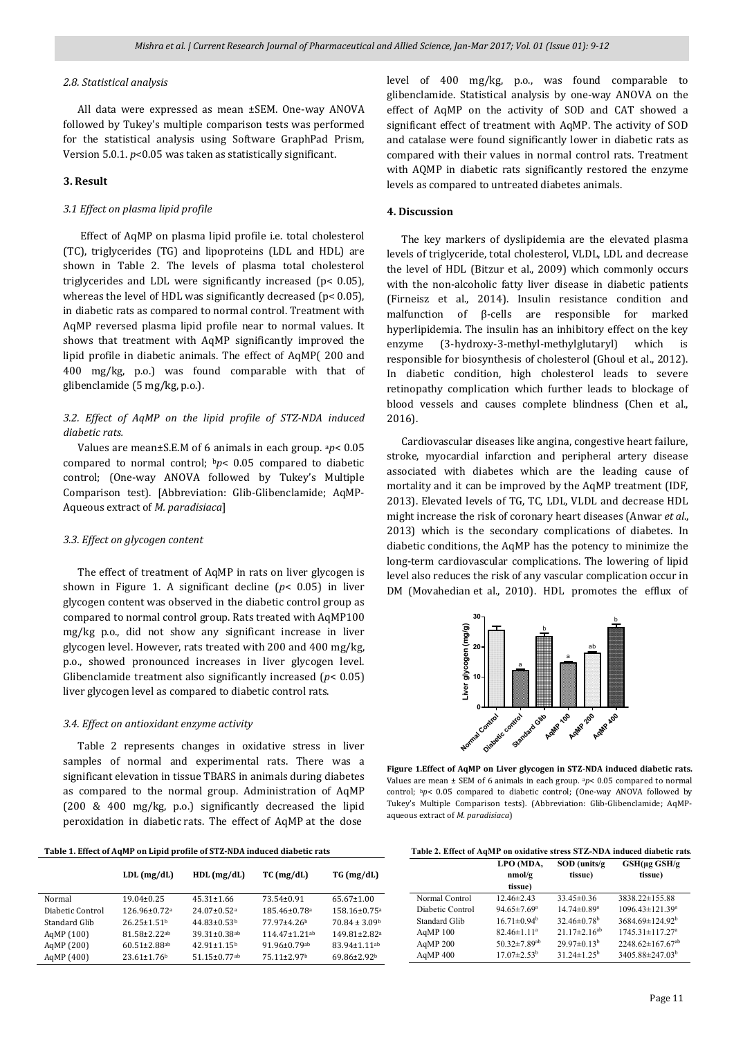#### *2.8. Statistical analysis*

 All data were expressed as mean ±SEM. One-way ANOVA followed by Tukey's multiple comparison tests was performed for the statistical analysis using Software GraphPad Prism, Version 5.0.1. *p*<0.05 was taken as statistically significant.

#### **3. Result**

#### *3.1 Effect on plasma lipid profile*

 Effect of AqMP on plasma lipid profile i.e. total cholesterol (TC), triglycerides (TG) and lipoproteins (LDL and HDL) are shown in Table 2. The levels of plasma total cholesterol triglycerides and LDL were significantly increased (p< 0.05), whereas the level of HDL was significantly decreased (p< 0.05), in diabetic rats as compared to normal control. Treatment with AqMP reversed plasma lipid profile near to normal values. It shows that treatment with AqMP significantly improved the lipid profile in diabetic animals. The effect of AqMP( 200 and 400 mg/kg, p.o.) was found comparable with that of glibenclamide (5 mg/kg, p.o.).

#### *3.2. Effect of AqMP on the lipid profile of STZ-NDA induced diabetic rats.*

 Values are mean±S.E.M of 6 animals in each group. a*p*< 0.05 compared to normal control; b*p*< 0.05 compared to diabetic control; (One-way ANOVA followed by Tukey's Multiple Comparison test). [Abbreviation: Glib-Glibenclamide; AqMP-Aqueous extract of *M. paradisiaca*]

#### *3.3. Effect on glycogen content*

 The effect of treatment of AqMP in rats on liver glycogen is shown in Figure 1. A significant decline (*p*< 0.05) in liver glycogen content was observed in the diabetic control group as compared to normal control group. Rats treated with AqMP100 mg/kg p.o., did not show any significant increase in liver glycogen level. However, rats treated with 200 and 400 mg/kg, p.o., showed pronounced increases in liver glycogen level. Glibenclamide treatment also significantly increased (*p*< 0.05) liver glycogen level as compared to diabetic control rats.

#### *3.4. Effect on antioxidant enzyme activity*

 Table 2 represents changes in oxidative stress in liver samples of normal and experimental rats. There was a significant elevation in tissue TBARS in animals during diabetes as compared to the normal group. Administration of AqMP (200 & 400 mg/kg, p.o.) significantly decreased the lipid peroxidation in diabetic rats. The effect of AqMP at the dose

| Table 1. Effect of AqMP on Lipid profile of STZ-NDA induced diabetic rats |  |  |  |
|---------------------------------------------------------------------------|--|--|--|
|---------------------------------------------------------------------------|--|--|--|

|                  | $LDL$ (mg/dL)                 | $HDL$ (mg/dL)                 | $TC$ (mg/dL)        | TG (mg/dL)                     |
|------------------|-------------------------------|-------------------------------|---------------------|--------------------------------|
| Normal           | $19.04 \pm 0.25$              | $45.31 \pm 1.66$              | 73.54±0.91          | $65.67 \pm 1.00$               |
| Diabetic Control | $126.96 \pm 0.72$ a           | $24.07 \pm 0.52$ <sup>a</sup> | $185.46 \pm 0.78$ a | $158.16 \pm 0.75$ <sup>a</sup> |
| Standard Glib    | $26.25 \pm 1.51$ <sup>b</sup> | $44.83 \pm 0.53$              | 77.97±4.26b         | $70.84 \pm 3.09$               |
| AgMP (100)       | $81.58 \pm 2.22$ ab           | $39.31 \pm 0.38$ ab           | $11447+121$ ab      | $149.81 \pm 2.82$ <sup>a</sup> |
| AgMP (200)       | $60.51 \pm 2.88$ ab           | $42.91 \pm 1.15$ <sup>b</sup> | $91.96 \pm 0.79$ ab | $83.94 \pm 1.11$ ab            |
| AgMP (400)       | $23.61 \pm 1.76$              | $51.15 \pm 0.77$ ab           | 75.11±2.97b         | 69.86±2.92b                    |

level of 400 mg/kg, p.o., was found comparable to glibenclamide. Statistical analysis by one-way ANOVA on the effect of AqMP on the activity of SOD and CAT showed a significant effect of treatment with AqMP. The activity of SOD and catalase were found significantly lower in diabetic rats as compared with their values in normal control rats. Treatment with AQMP in diabetic rats significantly restored the enzyme levels as compared to untreated diabetes animals.

#### **4. Discussion**

 The key markers of dyslipidemia are the elevated plasma levels of triglyceride, total cholesterol, VLDL, LDL and decrease the level of HDL (Bitzur et al., 2009) which commonly occurs with the non-alcoholic fatty liver disease in diabetic patients (Firneisz et al., 2014). Insulin resistance condition and malfunction of β-cells are responsible for marked hyperlipidemia. The insulin has an inhibitory effect on the key enzyme (3-hydroxy-3-methyl-methylglutaryl) which is responsible for biosynthesis of cholesterol (Ghoul et al., 2012). In diabetic condition, high cholesterol leads to severe retinopathy complication which further leads to blockage of blood vessels and causes complete blindness (Chen et al., 2016).

 Cardiovascular diseases like angina, congestive heart failure, stroke, myocardial infarction and peripheral artery disease associated with diabetes which are the leading cause of mortality and it can be improved by the AqMP treatment (IDF, 2013). Elevated levels of TG, TC, LDL, VLDL and decrease HDL might increase the risk of coronary heart diseases (Anwar *et al*., 2013) which is the secondary complications of diabetes. In diabetic conditions, the AqMP has the potency to minimize the long-term cardiovascular complications. The lowering of lipid level also reduces the risk of any vascular complication occur in DM (Movahedian et al., 2010). HDL promotes the efflux of



**Figure 1.Effect of AqMP on Liver glycogen in STZ-NDA induced diabetic rats.**  Values are mean ± SEM of 6 animals in each group. a*p*< 0.05 compared to normal control; bp< 0.05 compared to diabetic control; (One-way ANOVA followed by Tukey's Multiple Comparison tests). (Abbreviation: Glib-Glibenclamide; AqMPaqueous extract of *M. paradisiaca*)

| Table 2. Effect of AqMP on oxidative stress STZ-NDA induced diabetic rats. |                |  |
|----------------------------------------------------------------------------|----------------|--|
|                                                                            | <b>IDO AID</b> |  |

|                  | LPO (MDA,<br>nmol/g<br>tissue) | $SOD$ (units/g)<br>tissue)    | $GSH( \mu g \text{ } GSH/ g$<br>tissue) |
|------------------|--------------------------------|-------------------------------|-----------------------------------------|
| Normal Control   | $12.46 \pm 2.43$               | $33.45 \pm 0.36$              | 3838.22±155.88                          |
| Diabetic Control | $94.65 \pm 7.69^a$             | $14.74 \pm 0.89$ <sup>a</sup> | $1096.43 \pm 121.39^a$                  |
| Standard Glib    | $16.71 \pm 0.94^b$             | 32.46 $\pm$ 0.78 <sup>b</sup> | $3684.69 \pm 124.92^b$                  |
| AgMP 100         | $82.46 \pm 1.11^a$             | $21.17 \pm 2.16^{ab}$         | $1745.31 \pm 117.27$ <sup>a</sup>       |
| AgMP 200         | $50.32 \pm 7.89$ <sup>ab</sup> | $29.97\pm0.13^{b}$            | $2248.62 \pm 167.67$ <sup>ab</sup>      |
| AgMP 400         | $17.07 \pm 2.53^{\mathrm{b}}$  | $31.24 \pm 1.25^b$            | 3405.88±247.03 <sup>b</sup>             |